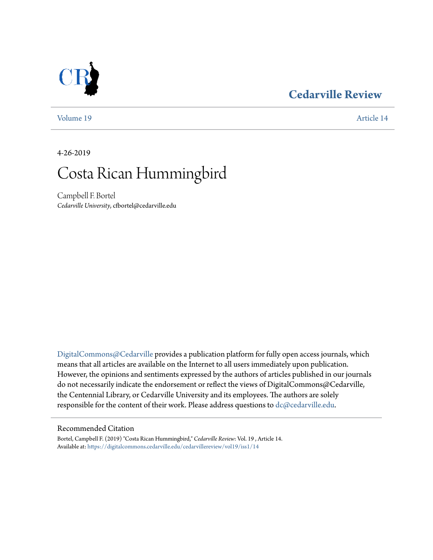### **[Cedarville Review](https://digitalcommons.cedarville.edu/cedarvillereview?utm_source=digitalcommons.cedarville.edu%2Fcedarvillereview%2Fvol19%2Fiss1%2F14&utm_medium=PDF&utm_campaign=PDFCoverPages)**

[Volume 19](https://digitalcommons.cedarville.edu/cedarvillereview/vol19?utm_source=digitalcommons.cedarville.edu%2Fcedarvillereview%2Fvol19%2Fiss1%2F14&utm_medium=PDF&utm_campaign=PDFCoverPages) [Article 14](https://digitalcommons.cedarville.edu/cedarvillereview/vol19/iss1/14?utm_source=digitalcommons.cedarville.edu%2Fcedarvillereview%2Fvol19%2Fiss1%2F14&utm_medium=PDF&utm_campaign=PDFCoverPages)

4-26-2019

# Costa Rican Hummingbird

Campbell F. Bortel *Cedarville University*, cfbortel@cedarville.edu

[DigitalCommons@Cedarville](http://digitalcommons.cedarville.edu/) provides a publication platform for fully open access journals, which means that all articles are available on the Internet to all users immediately upon publication. However, the opinions and sentiments expressed by the authors of articles published in our journals do not necessarily indicate the endorsement or reflect the views of DigitalCommons@Cedarville, the Centennial Library, or Cedarville University and its employees. The authors are solely responsible for the content of their work. Please address questions to [dc@cedarville.edu](mailto:dc@cedarville.edu).

### Recommended Citation

Bortel, Campbell F. (2019) "Costa Rican Hummingbird," *Cedarville Review*: Vol. 19 , Article 14. Available at: [https://digitalcommons.cedarville.edu/cedarvillereview/vol19/iss1/14](https://digitalcommons.cedarville.edu/cedarvillereview/vol19/iss1/14?utm_source=digitalcommons.cedarville.edu%2Fcedarvillereview%2Fvol19%2Fiss1%2F14&utm_medium=PDF&utm_campaign=PDFCoverPages)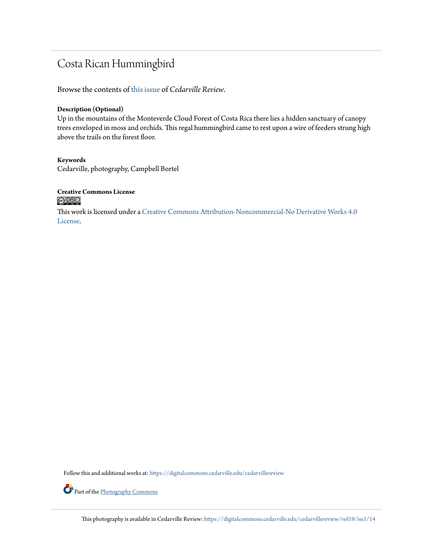## Costa Rican Hummingbird

Browse the contents of [this issue](https://digitalcommons.cedarville.edu/cedarvillereview/vol19/iss1) of *Cedarville Review*.

### **Description (Optional)**

Up in the mountains of the Monteverde Cloud Forest of Costa Rica there lies a hidden sanctuary of canopy trees enveloped in moss and orchids. This regal hummingbird came to rest upon a wire of feeders strung high above the trails on the forest floor.

### **Keywords** Cedarville, photography, Campbell Bortel

### **Creative Commons License**  $\bigcirc$   $\circ$

This work is licensed under a [Creative Commons Attribution-Noncommercial-No Derivative Works 4.0](http://creativecommons.org/licenses/by-nc-nd/4.0/) [License.](http://creativecommons.org/licenses/by-nc-nd/4.0/)

Follow this and additional works at: [https://digitalcommons.cedarville.edu/cedarvillereview](https://digitalcommons.cedarville.edu/cedarvillereview?utm_source=digitalcommons.cedarville.edu%2Fcedarvillereview%2Fvol19%2Fiss1%2F14&utm_medium=PDF&utm_campaign=PDFCoverPages)



This photography is available in Cedarville Review: [https://digitalcommons.cedarville.edu/cedarvillereview/vol19/iss1/14](https://digitalcommons.cedarville.edu/cedarvillereview/vol19/iss1/14?utm_source=digitalcommons.cedarville.edu%2Fcedarvillereview%2Fvol19%2Fiss1%2F14&utm_medium=PDF&utm_campaign=PDFCoverPages)